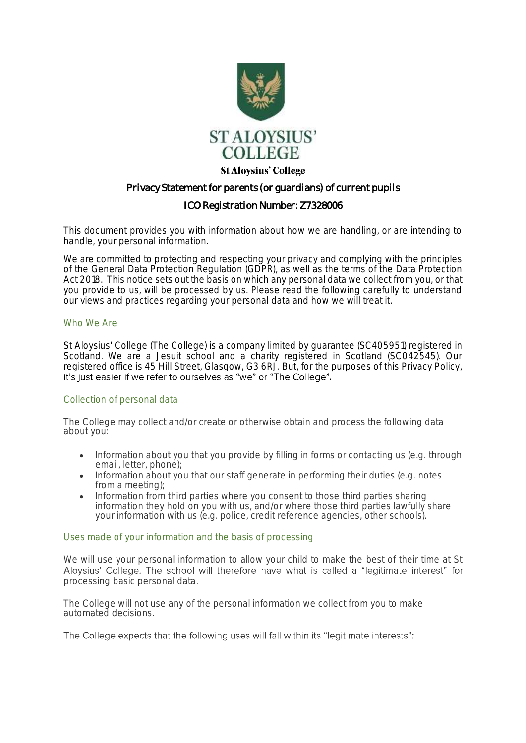

## **St Aloysius' College**

# Privacy Statement for parents (or guardians) of current pupils

# ICO Registration Number: Z7328006

This document provides you with information about how we are handling, or are intending to handle, your personal information.

We are committed to protecting and respecting your privacy and complying with the principles of the General Data Protection Regulation (GDPR), as well as the terms of the Data Protection Act 2018. This notice sets out the basis on which any personal data we collect from you, or that you provide to us, will be processed by us. Please read the following carefully to understand our views and practices regarding your personal data and how we will treat it.

### Who We Are

St Aloysius' College (The College) is a company limited by guarantee (SC405951) registered in Scotland. We are a Jesuit school and a charity registered in Scotland (SC042545). Our registered office is 45 Hill Street, Glasgow, G3 6RJ. But, for the purposes of this Privacy Policy, it's just easier if we refer to ourselves as "we" or "The College".

### Collection of personal data

The College may collect and/or create or otherwise obtain and process the following data about you:

- Information about you that you provide by filling in forms or contacting us (e.g. through email, letter, phone);
- Information about you that our staff generate in performing their duties (e.g. notes from a meeting);
- Information from third parties where you consent to those third parties sharing information they hold on you with us, and/or where those third parties lawfully share your information with us (e.g. police, credit reference agencies, other schools).

### Uses made of your information and the basis of processing

We will use your personal information to allow your child to make the best of their time at St<br>Aloysius' College. The school will therefore have what is called a "legitimate interest" for processing basic personal data.

The College will not use any of the personal information we collect from you to make automated decisions.

The College expects that the following uses will fall within its "legitimate interests":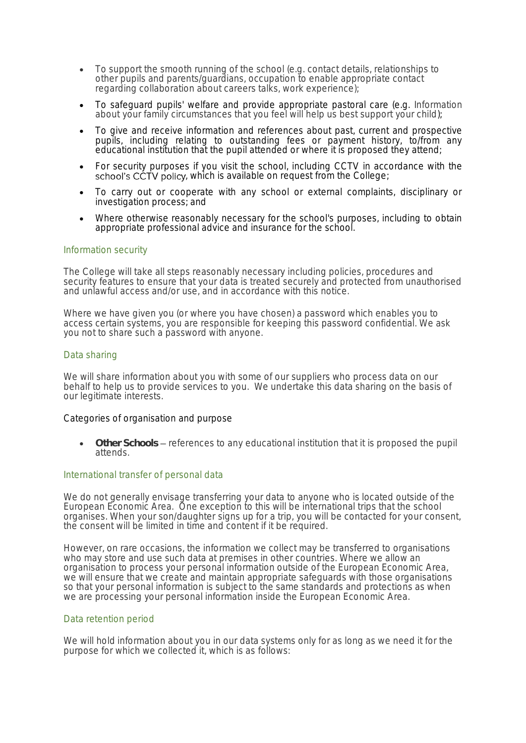- To support the smooth running of the school (e.g. contact details, relationships to other pupils and parents/guardians, occupation to enable appropriate contact regarding collaboration about careers talks, work experience);
- To safeguard pupils' welfare and provide appropriate pastoral care (e.g. Information about your family circumstances that you feel will help us best support your child);
- To give and receive information and references about past, current and prospective pupils, including relating to outstanding fees or payment history, to/from any educational institution that the pupil attended or where it is proposed they attend;
- For security purposes if you visit the school, including CCTV in accordance with the school's CCTV policy, which is available on request from the College;
- To carry out or cooperate with any school or external complaints, disciplinary or investigation process; and
- Where otherwise reasonably necessary for the school's purposes, including to obtain appropriate professional advice and insurance for the school.

### Information security

The College will take all steps reasonably necessary including policies, procedures and security features to ensure that your data is treated securely and protected from unauthorised and unlawful access and/or use, and in accordance with this notice.

Where we have given you (or where you have chosen) a password which enables you to access certain systems, you are responsible for keeping this password confidential. We ask you not to share such a password with anyone.

### Data sharing

We will share information about you with some of our suppliers who process data on our behalf to help us to provide services to you. We undertake this data sharing on the basis of our legitimate interests.

#### Categories of organisation and purpose

• **Other Schools** references to any educational institution that it is proposed the pupil attends.

### International transfer of personal data

We do not generally envisage transferring your data to anyone who is located outside of the European Economic Area. One exception to this will be international trips that the school organises. When your son/daughter signs up for a trip, you will be contacted for your consent, the consent will be limited in time and content if it be required.

However, on rare occasions, the information we collect may be transferred to organisations who may store and use such data at premises in other countries. Where we allow an organisation to process your personal information outside of the European Economic Area, we will ensure that we create and maintain appropriate safeguards with those organisations so that your personal information is subject to the same standards and protections as when we are processing your personal information inside the European Economic Area.

### Data retention period

We will hold information about you in our data systems only for as long as we need it for the purpose for which we collected it, which is as follows: